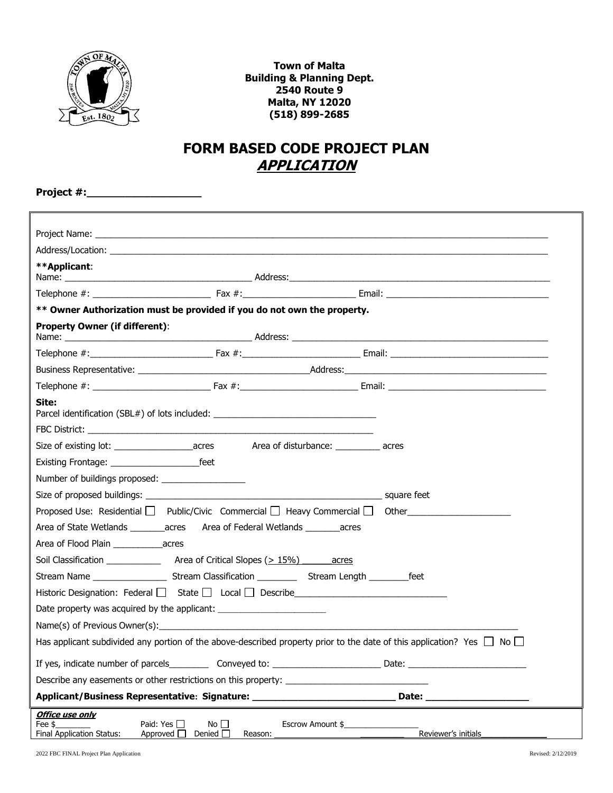

**Town of Malta Building & Planning Dept. 2540 Route 9 Malta, NY 12020 (518) 899-2685**

# **FORM BASED CODE PROJECT PLAN APPLICATION**

**Project #:\_\_\_\_\_\_\_\_\_\_\_\_\_\_\_\_\_\_**

| Address/Location: the contract of the contract of the contract of the contract of the contract of the contract of the contract of the contract of the contract of the contract of the contract of the contract of the contract |                             |                                                                                                                                  |  |  |  |  |
|--------------------------------------------------------------------------------------------------------------------------------------------------------------------------------------------------------------------------------|-----------------------------|----------------------------------------------------------------------------------------------------------------------------------|--|--|--|--|
| **Applicant:                                                                                                                                                                                                                   |                             |                                                                                                                                  |  |  |  |  |
|                                                                                                                                                                                                                                |                             |                                                                                                                                  |  |  |  |  |
|                                                                                                                                                                                                                                |                             |                                                                                                                                  |  |  |  |  |
| ** Owner Authorization must be provided if you do not own the property.                                                                                                                                                        |                             |                                                                                                                                  |  |  |  |  |
| <b>Property Owner (if different):</b>                                                                                                                                                                                          |                             |                                                                                                                                  |  |  |  |  |
|                                                                                                                                                                                                                                |                             |                                                                                                                                  |  |  |  |  |
|                                                                                                                                                                                                                                |                             |                                                                                                                                  |  |  |  |  |
|                                                                                                                                                                                                                                |                             |                                                                                                                                  |  |  |  |  |
| Site:<br>Parcel identification (SBL#) of lots included: _________________________________                                                                                                                                      |                             |                                                                                                                                  |  |  |  |  |
| FBC District: the contract of the contract of the contract of the contract of the contract of the contract of the contract of the contract of the contract of the contract of the contract of the contract of the contract of  |                             |                                                                                                                                  |  |  |  |  |
|                                                                                                                                                                                                                                |                             |                                                                                                                                  |  |  |  |  |
|                                                                                                                                                                                                                                |                             |                                                                                                                                  |  |  |  |  |
|                                                                                                                                                                                                                                |                             |                                                                                                                                  |  |  |  |  |
|                                                                                                                                                                                                                                |                             |                                                                                                                                  |  |  |  |  |
| Proposed Use: Residential Public/Civic Commercial Pleavy Commercial Dubler                                                                                                                                                     |                             |                                                                                                                                  |  |  |  |  |
|                                                                                                                                                                                                                                |                             |                                                                                                                                  |  |  |  |  |
| Area of Flood Plain _________________acres                                                                                                                                                                                     |                             |                                                                                                                                  |  |  |  |  |
|                                                                                                                                                                                                                                |                             |                                                                                                                                  |  |  |  |  |
|                                                                                                                                                                                                                                |                             |                                                                                                                                  |  |  |  |  |
| Historic Designation: Federal $\Box$ State $\Box$ Local $\Box$ Describe                                                                                                                                                        |                             |                                                                                                                                  |  |  |  |  |
| Date property was acquired by the applicant: ___________________________________                                                                                                                                               |                             |                                                                                                                                  |  |  |  |  |
| Name(s) of Previous Owner(s): Name (s) and the state of the state of the state of the state of the state of the state of the state of the state of the state of the state of the state of the state of the state of the state  |                             |                                                                                                                                  |  |  |  |  |
|                                                                                                                                                                                                                                |                             | Has applicant subdivided any portion of the above-described property prior to the date of this application? Yes $\Box$ No $\Box$ |  |  |  |  |
|                                                                                                                                                                                                                                |                             |                                                                                                                                  |  |  |  |  |
| Describe any easements or other restrictions on this property: __________________                                                                                                                                              |                             |                                                                                                                                  |  |  |  |  |
| Applicant/Business Representative: Signature: __________________________________                                                                                                                                               |                             | Date: ______________________                                                                                                     |  |  |  |  |
| <b>Office use only</b><br>Paid: Yes $\Box$<br>Fee \$                                                                                                                                                                           | No $\square$                | Escrow Amount \$                                                                                                                 |  |  |  |  |
| Final Application Status:<br>Approved $\square$                                                                                                                                                                                | Denied $\square$<br>Reason: | Reviewer's initials                                                                                                              |  |  |  |  |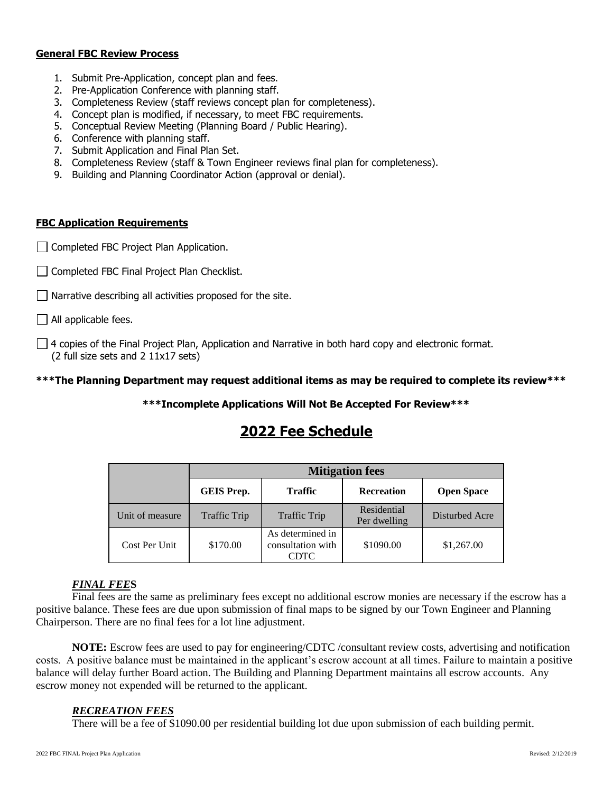### **General FBC Review Process**

- 1. Submit Pre-Application, concept plan and fees.
- 2. Pre-Application Conference with planning staff.
- 3. Completeness Review (staff reviews concept plan for completeness).
- 4. Concept plan is modified, if necessary, to meet FBC requirements.
- 5. Conceptual Review Meeting (Planning Board / Public Hearing).
- 6. Conference with planning staff.
- 7. Submit Application and Final Plan Set.
- 8. Completeness Review (staff & Town Engineer reviews final plan for completeness).
- 9. Building and Planning Coordinator Action (approval or denial).

#### **FBC Application Requirements**

- Completed FBC Project Plan Application.
- Completed FBC Final Project Plan Checklist.

Narrative describing all activities proposed for the site.

 $\Box$  All applicable fees.

 $\Box$  4 copies of the Final Project Plan, Application and Narrative in both hard copy and electronic format. (2 full size sets and 2 11x17 sets)

### **\*\*\*The Planning Department may request additional items as may be required to complete its review\*\*\***

**\*\*\*Incomplete Applications Will Not Be Accepted For Review\*\*\***

# **2022 Fee Schedule**

|                 | <b>Mitigation fees</b> |                                               |                             |                   |  |
|-----------------|------------------------|-----------------------------------------------|-----------------------------|-------------------|--|
|                 | <b>GEIS Prep.</b>      | <b>Traffic</b>                                | Recreation                  | <b>Open Space</b> |  |
| Unit of measure | <b>Traffic Trip</b>    | <b>Traffic Trip</b>                           | Residential<br>Per dwelling | Disturbed Acre    |  |
| Cost Per Unit   | \$170.00               | As determined in<br>consultation with<br>CDTC | \$1090.00                   | \$1,267.00        |  |

## *FINAL FEE***S**

Final fees are the same as preliminary fees except no additional escrow monies are necessary if the escrow has a positive balance. These fees are due upon submission of final maps to be signed by our Town Engineer and Planning Chairperson. There are no final fees for a lot line adjustment.

**NOTE:** Escrow fees are used to pay for engineering/CDTC /consultant review costs, advertising and notification costs. A positive balance must be maintained in the applicant's escrow account at all times. Failure to maintain a positive balance will delay further Board action. The Building and Planning Department maintains all escrow accounts. Any escrow money not expended will be returned to the applicant.

### *RECREATION FEES*

There will be a fee of \$1090.00 per residential building lot due upon submission of each building permit.